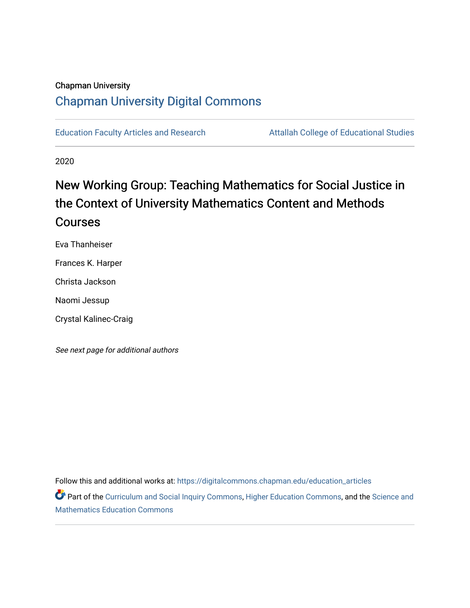# Chapman University [Chapman University Digital Commons](https://digitalcommons.chapman.edu/)

[Education Faculty Articles and Research](https://digitalcommons.chapman.edu/education_articles) **Attallah College of Educational Studies** 

2020

# New Working Group: Teaching Mathematics for Social Justice in the Context of University Mathematics Content and Methods Courses

Eva Thanheiser

Frances K. Harper

Christa Jackson

Naomi Jessup

Crystal Kalinec-Craig

See next page for additional authors

Follow this and additional works at: [https://digitalcommons.chapman.edu/education\\_articles](https://digitalcommons.chapman.edu/education_articles?utm_source=digitalcommons.chapman.edu%2Feducation_articles%2F286&utm_medium=PDF&utm_campaign=PDFCoverPages)

Part of the [Curriculum and Social Inquiry Commons,](http://network.bepress.com/hgg/discipline/1038?utm_source=digitalcommons.chapman.edu%2Feducation_articles%2F286&utm_medium=PDF&utm_campaign=PDFCoverPages) [Higher Education Commons,](http://network.bepress.com/hgg/discipline/1245?utm_source=digitalcommons.chapman.edu%2Feducation_articles%2F286&utm_medium=PDF&utm_campaign=PDFCoverPages) and the Science and [Mathematics Education Commons](http://network.bepress.com/hgg/discipline/800?utm_source=digitalcommons.chapman.edu%2Feducation_articles%2F286&utm_medium=PDF&utm_campaign=PDFCoverPages)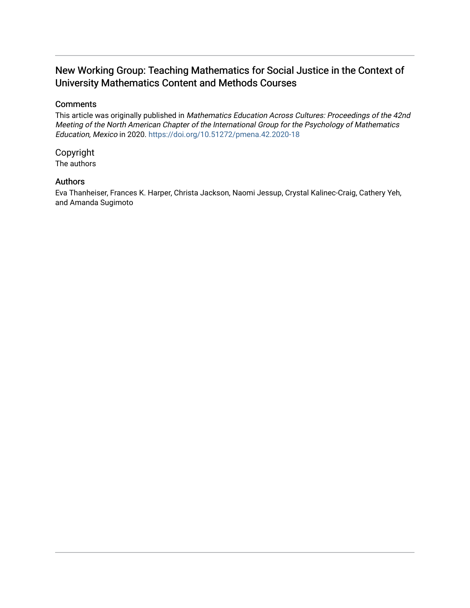# New Working Group: Teaching Mathematics for Social Justice in the Context of University Mathematics Content and Methods Courses

## **Comments**

This article was originally published in Mathematics Education Across Cultures: Proceedings of the 42nd Meeting of the North American Chapter of the International Group for the Psychology of Mathematics Education, Mexico in 2020. <https://doi.org/10.51272/pmena.42.2020-18>

# Copyright

The authors

# Authors

Eva Thanheiser, Frances K. Harper, Christa Jackson, Naomi Jessup, Crystal Kalinec-Craig, Cathery Yeh, and Amanda Sugimoto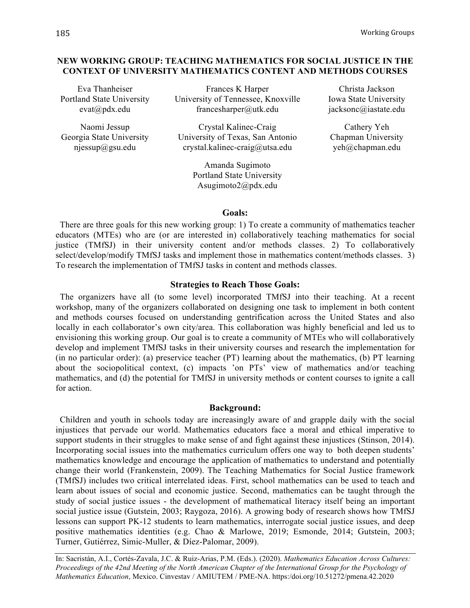## **NEW WORKING GROUP: TEACHING MATHEMATICS FOR SOCIAL JUSTICE IN THE CONTEXT OF UNIVERSITY MATHEMATICS CONTENT AND METHODS COURSES**

Eva Thanheiser Portland State University evat@pdx.edu

Naomi Jessup Georgia State University njessup@gsu.edu

Frances K Harper University of Tennessee, Knoxville francesharper@utk.edu

Crystal Kalinec-Craig University of Texas, San Antonio crystal.kalinec-craig@utsa.edu

> Amanda Sugimoto Portland State University Asugimoto2@pdx.edu

Christa Jackson Iowa State University jacksonc@iastate.edu

Cathery Yeh Chapman University yeh@chapman.edu

#### **Goals:**

There are three goals for this new working group: 1) To create a community of mathematics teacher educators (MTEs) who are (or are interested in) collaboratively teaching mathematics for social justice (TMfSJ) in their university content and/or methods classes. 2) To collaboratively select/develop/modify TMfSJ tasks and implement those in mathematics content/methods classes. 3) To research the implementation of TMfSJ tasks in content and methods classes.

### **Strategies to Reach Those Goals:**

The organizers have all (to some level) incorporated TMfSJ into their teaching. At a recent workshop, many of the organizers collaborated on designing one task to implement in both content and methods courses focused on understanding gentrification across the United States and also locally in each collaborator's own city/area. This collaboration was highly beneficial and led us to envisioning this working group. Our goal is to create a community of MTEs who will collaboratively develop and implement TMfSJ tasks in their university courses and research the implementation for (in no particular order): (a) preservice teacher (PT) learning about the mathematics, (b) PT learning about the sociopolitical context, (c) impacts 'on PTs' view of mathematics and/or teaching mathematics, and (d) the potential for TMfSJ in university methods or content courses to ignite a call for action.

#### **Background:**

Children and youth in schools today are increasingly aware of and grapple daily with the social injustices that pervade our world. Mathematics educators face a moral and ethical imperative to support students in their struggles to make sense of and fight against these injustices (Stinson, 2014). Incorporating social issues into the mathematics curriculum offers one way to both deepen students' mathematics knowledge and encourage the application of mathematics to understand and potentially change their world (Frankenstein, 2009). The Teaching Mathematics for Social Justice framework (TMfSJ) includes two critical interrelated ideas. First, school mathematics can be used to teach and learn about issues of social and economic justice. Second, mathematics can be taught through the study of social justice issues - the development of mathematical literacy itself being an important social justice issue (Gutstein, 2003; Raygoza, 2016). A growing body of research shows how TMfSJ lessons can support PK-12 students to learn mathematics, interrogate social justice issues, and deep positive mathematics identities (e.g. Chao & Marlowe, 2019; Esmonde, 2014; Gutstein, 2003; Turner, Gutiérrez, Simic-Muller, & Díez-Palomar, 2009).

In: Sacristán, A.I., Cortés-Zavala, J.C. & Ruiz-Arias, P.M. (Eds.). (2020). *Mathematics Education Across Cultures: Proceedings of the 42nd Meeting of the North American Chapter of the International Group for the Psychology of Mathematics Education*, Mexico. Cinvestav / AMIUTEM / PME-NA. https:/doi.org/10.51272/pmena.42.2020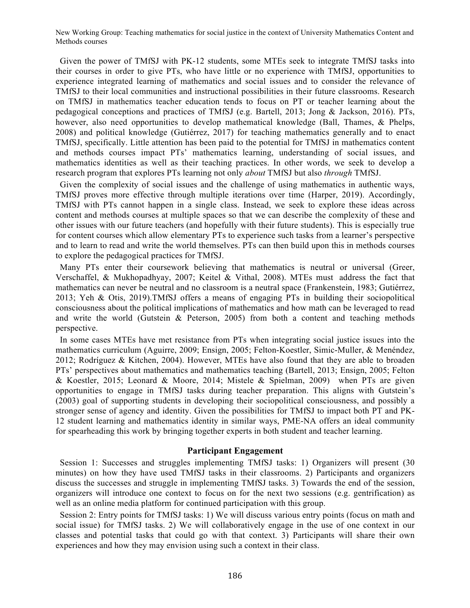New Working Group: Teaching mathematics for social justice in the context of University Mathematics Content and Methods courses

Given the power of TMfSJ with PK-12 students, some MTEs seek to integrate TMfSJ tasks into their courses in order to give PTs, who have little or no experience with TMfSJ, opportunities to experience integrated learning of mathematics and social issues and to consider the relevance of TMfSJ to their local communities and instructional possibilities in their future classrooms. Research on TMfSJ in mathematics teacher education tends to focus on PT or teacher learning about the pedagogical conceptions and practices of TMfSJ (e.g. Bartell, 2013; Jong & Jackson, 2016). PTs, however, also need opportunities to develop mathematical knowledge (Ball, Thames, & Phelps, 2008) and political knowledge (Gutiérrez, 2017) for teaching mathematics generally and to enact TMfSJ, specifically. Little attention has been paid to the potential for TMfSJ in mathematics content and methods courses impact PTs' mathematics learning, understanding of social issues, and mathematics identities as well as their teaching practices. In other words, we seek to develop a research program that explores PTs learning not only *about* TMfSJ but also *through* TMfSJ.

Given the complexity of social issues and the challenge of using mathematics in authentic ways, TMfSJ proves more effective through multiple iterations over time (Harper, 2019). Accordingly, TMfSJ with PTs cannot happen in a single class. Instead, we seek to explore these ideas across content and methods courses at multiple spaces so that we can describe the complexity of these and other issues with our future teachers (and hopefully with their future students). This is especially true for content courses which allow elementary PTs to experience such tasks from a learner's perspective and to learn to read and write the world themselves. PTs can then build upon this in methods courses to explore the pedagogical practices for TMfSJ.

Many PTs enter their coursework believing that mathematics is neutral or universal (Greer, Verschaffel, & Mukhopadhyay, 2007; Keitel & Vithal, 2008). MTEs must address the fact that mathematics can never be neutral and no classroom is a neutral space (Frankenstein, 1983; Gutiérrez, 2013; Yeh & Otis, 2019).TMfSJ offers a means of engaging PTs in building their sociopolitical consciousness about the political implications of mathematics and how math can be leveraged to read and write the world (Gutstein  $\&$  Peterson, 2005) from both a content and teaching methods perspective.

In some cases MTEs have met resistance from PTs when integrating social justice issues into the mathematics curriculum (Aguirre, 2009; Ensign, 2005; Felton-Koestler, Simic-Muller, & Menéndez, 2012; Rodríguez & Kitchen, 2004). However, MTEs have also found that they are able to broaden PTs' perspectives about mathematics and mathematics teaching (Bartell, 2013; Ensign, 2005; Felton & Koestler, 2015; Leonard & Moore, 2014; Mistele & Spielman, 2009) when PTs are given opportunities to engage in TMfSJ tasks during teacher preparation. This aligns with Gutstein's (2003) goal of supporting students in developing their sociopolitical consciousness, and possibly a stronger sense of agency and identity. Given the possibilities for TMfSJ to impact both PT and PK-12 student learning and mathematics identity in similar ways, PME-NA offers an ideal community for spearheading this work by bringing together experts in both student and teacher learning.

#### **Participant Engagement**

Session 1: Successes and struggles implementing TMfSJ tasks: 1) Organizers will present (30 minutes) on how they have used TMfSJ tasks in their classrooms. 2) Participants and organizers discuss the successes and struggle in implementing TMfSJ tasks. 3) Towards the end of the session, organizers will introduce one context to focus on for the next two sessions (e.g. gentrification) as well as an online media platform for continued participation with this group.

Session 2: Entry points for TMfSJ tasks: 1) We will discuss various entry points (focus on math and social issue) for TMfSJ tasks. 2) We will collaboratively engage in the use of one context in our classes and potential tasks that could go with that context. 3) Participants will share their own experiences and how they may envision using such a context in their class.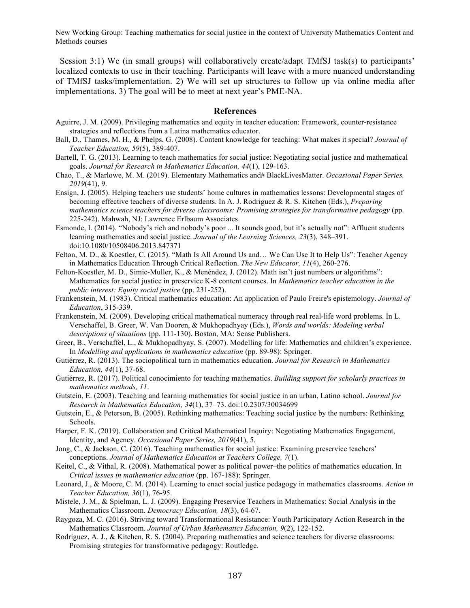New Working Group: Teaching mathematics for social justice in the context of University Mathematics Content and Methods courses

Session 3:1) We (in small groups) will collaboratively create/adapt TMfSJ task(s) to participants' localized contexts to use in their teaching. Participants will leave with a more nuanced understanding of TMfSJ tasks/implementation. 2) We will set up structures to follow up via online media after implementations. 3) The goal will be to meet at next year's PME-NA.

#### **References**

- Aguirre, J. M. (2009). Privileging mathematics and equity in teacher education: Framework, counter-resistance strategies and reflections from a Latina mathematics educator.
- Ball, D., Thames, M. H., & Phelps, G. (2008). Content knowledge for teaching: What makes it special? *Journal of Teacher Education, 59*(5), 389-407.
- Bartell, T. G. (2013). Learning to teach mathematics for social justice: Negotiating social justice and mathematical goals. *Journal for Research in Mathematics Education, 44*(1), 129-163.
- Chao, T., & Marlowe, M. M. (2019). Elementary Mathematics and# BlackLivesMatter. *Occasional Paper Series, 2019*(41), 9.
- Ensign, J. (2005). Helping teachers use students' home cultures in mathematics lessons: Developmental stages of becoming effective teachers of diverse students. In A. J. Rodriguez & R. S. Kitchen (Eds.), *Preparing mathematics science teachers for diverse classrooms: Promising strategies for transformative pedagogy* (pp. 225-242). Mahwah, NJ: Lawrence Erlbaum Associates.
- Esmonde, I. (2014). "Nobody's rich and nobody's poor ... It sounds good, but it's actually not": Affluent students learning mathematics and social justice. *Journal of the Learning Sciences, 23*(3), 348–391. doi:10.1080/10508406.2013.847371
- Felton, M. D., & Koestler, C. (2015). "Math Is All Around Us and… We Can Use It to Help Us": Teacher Agency in Mathematics Education Through Critical Reflection. *The New Educator, 11*(4), 260-276.
- Felton-Koestler, M. D., Simic-Muller, K., & Menéndez, J. (2012). Math isn't just numbers or algorithms": Mathematics for social justice in preservice K-8 content courses. In *Mathematics teacher education in the public interest: Equity social justice* (pp. 231-252).
- Frankenstein, M. (1983). Critical mathematics education: An application of Paulo Freire's epistemology. *Journal of Education*, 315-339.
- Frankenstein, M. (2009). Developing critical mathematical numeracy through real real-life word problems. In L. Verschaffel, B. Greer, W. Van Dooren, & Mukhopadhyay (Eds.), *Words and worlds: Modeling verbal descriptions of situations* (pp. 111-130). Boston, MA: Sense Publishers.
- Greer, B., Verschaffel, L., & Mukhopadhyay, S. (2007). Modelling for life: Mathematics and children's experience. In *Modelling and applications in mathematics education* (pp. 89-98): Springer.
- Gutiérrez, R. (2013). The sociopolitical turn in mathematics education. *Journal for Research in Mathematics Education, 44*(1), 37-68.
- Gutiérrez, R. (2017). Political conocimiento for teaching mathematics. *Building support for scholarly practices in mathematics methods, 11*.
- Gutstein, E. (2003). Teaching and learning mathematics for social justice in an urban, Latino school. *Journal for Research in Mathematics Education, 34*(1), 37–73. doi:10.2307/30034699
- Gutstein, E., & Peterson, B. (2005). Rethinking mathematics: Teaching social justice by the numbers: Rethinking Schools.
- Harper, F. K. (2019). Collaboration and Critical Mathematical Inquiry: Negotiating Mathematics Engagement, Identity, and Agency. *Occasional Paper Series, 2019*(41), 5.
- Jong, C., & Jackson, C. (2016). Teaching mathematics for social justice: Examining preservice teachers' conceptions. *Journal of Mathematics Education at Teachers College, 7*(1).
- Keitel, C., & Vithal, R. (2008). Mathematical power as political power–the politics of mathematics education. In *Critical issues in mathematics education* (pp. 167-188): Springer.
- Leonard, J., & Moore, C. M. (2014). Learning to enact social justice pedagogy in mathematics classrooms. *Action in Teacher Education, 36*(1), 76-95.
- Mistele, J. M., & Spielman, L. J. (2009). Engaging Preservice Teachers in Mathematics: Social Analysis in the Mathematics Classroom. *Democracy Education, 18*(3), 64-67.
- Raygoza, M. C. (2016). Striving toward Transformational Resistance: Youth Participatory Action Research in the Mathematics Classroom. *Journal of Urban Mathematics Education, 9*(2), 122-152.
- Rodríguez, A. J., & Kitchen, R. S. (2004). Preparing mathematics and science teachers for diverse classrooms: Promising strategies for transformative pedagogy: Routledge.